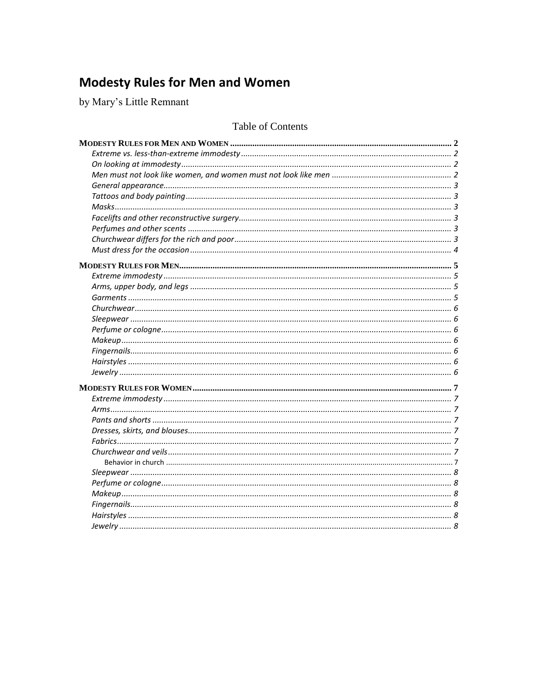# **Modesty Rules for Men and Women**

by Mary's Little Remnant

# Table of Contents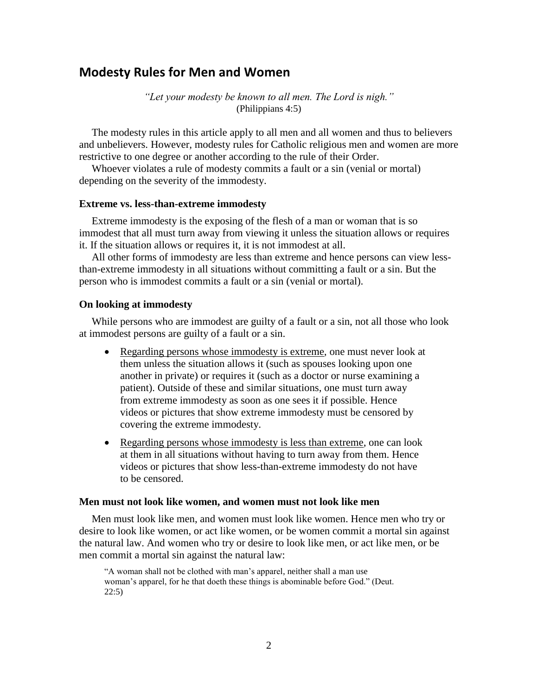# <span id="page-1-0"></span>**Modesty Rules for Men and Women**

*"Let your modesty be known to all men. The Lord is nigh."* (Philippians 4:5)

The modesty rules in this article apply to all men and all women and thus to believers and unbelievers. However, modesty rules for Catholic religious men and women are more restrictive to one degree or another according to the rule of their Order.

Whoever violates a rule of modesty commits a fault or a sin (venial or mortal) depending on the severity of the immodesty.

#### <span id="page-1-1"></span>**Extreme vs. less-than-extreme immodesty**

Extreme immodesty is the exposing of the flesh of a man or woman that is so immodest that all must turn away from viewing it unless the situation allows or requires it. If the situation allows or requires it, it is not immodest at all.

All other forms of immodesty are less than extreme and hence persons can view lessthan-extreme immodesty in all situations without committing a fault or a sin. But the person who is immodest commits a fault or a sin (venial or mortal).

#### <span id="page-1-2"></span>**On looking at immodesty**

While persons who are immodest are guilty of a fault or a sin, not all those who look at immodest persons are guilty of a fault or a sin.

- Regarding persons whose immodesty is extreme, one must never look at them unless the situation allows it (such as spouses looking upon one another in private) or requires it (such as a doctor or nurse examining a patient). Outside of these and similar situations, one must turn away from extreme immodesty as soon as one sees it if possible. Hence videos or pictures that show extreme immodesty must be censored by covering the extreme immodesty.
- Regarding persons whose immodesty is less than extreme, one can look at them in all situations without having to turn away from them. Hence videos or pictures that show less-than-extreme immodesty do not have to be censored.

#### <span id="page-1-3"></span>**Men must not look like women, and women must not look like men**

Men must look like men, and women must look like women. Hence men who try or desire to look like women, or act like women, or be women commit a mortal sin against the natural law. And women who try or desire to look like men, or act like men, or be men commit a mortal sin against the natural law:

"A woman shall not be clothed with man's apparel, neither shall a man use woman's apparel, for he that doeth these things is abominable before God." (Deut. 22:5)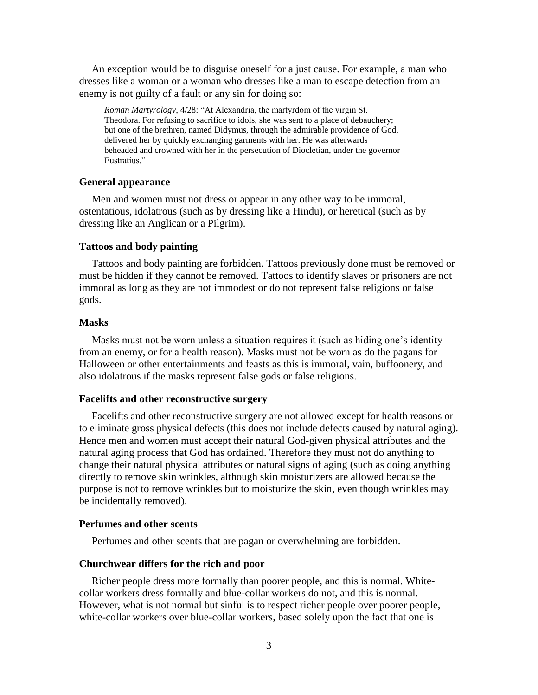An exception would be to disguise oneself for a just cause. For example, a man who dresses like a woman or a woman who dresses like a man to escape detection from an enemy is not guilty of a fault or any sin for doing so:

*Roman Martyrology*, 4/28: "At Alexandria, the martyrdom of the virgin St. Theodora. For refusing to sacrifice to idols, she was sent to a place of debauchery; but one of the brethren, named Didymus, through the admirable providence of God, delivered her by quickly exchanging garments with her. He was afterwards beheaded and crowned with her in the persecution of Diocletian, under the governor Eustratius."

#### <span id="page-2-0"></span>**General appearance**

Men and women must not dress or appear in any other way to be immoral, ostentatious, idolatrous (such as by dressing like a Hindu), or heretical (such as by dressing like an Anglican or a Pilgrim).

# <span id="page-2-1"></span>**Tattoos and body painting**

Tattoos and body painting are forbidden. Tattoos previously done must be removed or must be hidden if they cannot be removed. Tattoos to identify slaves or prisoners are not immoral as long as they are not immodest or do not represent false religions or false gods.

# <span id="page-2-2"></span>**Masks**

Masks must not be worn unless a situation requires it (such as hiding one's identity from an enemy, or for a health reason). Masks must not be worn as do the pagans for Halloween or other entertainments and feasts as this is immoral, vain, buffoonery, and also idolatrous if the masks represent false gods or false religions.

### <span id="page-2-3"></span>**Facelifts and other reconstructive surgery**

Facelifts and other reconstructive surgery are not allowed except for health reasons or to eliminate gross physical defects (this does not include defects caused by natural aging). Hence men and women must accept their natural God-given physical attributes and the natural aging process that God has ordained. Therefore they must not do anything to change their natural physical attributes or natural signs of aging (such as doing anything directly to remove skin wrinkles, although skin moisturizers are allowed because the purpose is not to remove wrinkles but to moisturize the skin, even though wrinkles may be incidentally removed).

#### <span id="page-2-4"></span>**Perfumes and other scents**

Perfumes and other scents that are pagan or overwhelming are forbidden.

#### <span id="page-2-5"></span>**Churchwear differs for the rich and poor**

Richer people dress more formally than poorer people, and this is normal. Whitecollar workers dress formally and blue-collar workers do not, and this is normal. However, what is not normal but sinful is to respect richer people over poorer people, white-collar workers over blue-collar workers, based solely upon the fact that one is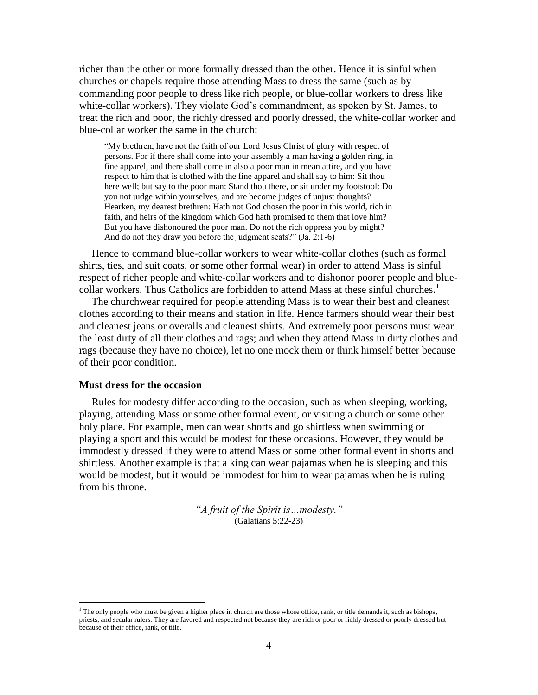richer than the other or more formally dressed than the other. Hence it is sinful when churches or chapels require those attending Mass to dress the same (such as by commanding poor people to dress like rich people, or blue-collar workers to dress like white-collar workers). They violate God's commandment, as spoken by St. James, to treat the rich and poor, the richly dressed and poorly dressed, the white-collar worker and blue-collar worker the same in the church:

"My brethren, have not the faith of our Lord Jesus Christ of glory with respect of persons. For if there shall come into your assembly a man having a golden ring, in fine apparel, and there shall come in also a poor man in mean attire, and you have respect to him that is clothed with the fine apparel and shall say to him: Sit thou here well; but say to the poor man: Stand thou there, or sit under my footstool: Do you not judge within yourselves, and are become judges of unjust thoughts? Hearken, my dearest brethren: Hath not God chosen the poor in this world, rich in faith, and heirs of the kingdom which God hath promised to them that love him? But you have dishonoured the poor man. Do not the rich oppress you by might? And do not they draw you before the judgment seats?" (Ja. 2:1-6)

Hence to command blue-collar workers to wear white-collar clothes (such as formal shirts, ties, and suit coats, or some other formal wear) in order to attend Mass is sinful respect of richer people and white-collar workers and to dishonor poorer people and bluecollar workers. Thus Catholics are forbidden to attend Mass at these sinful churches.<sup>1</sup>

The churchwear required for people attending Mass is to wear their best and cleanest clothes according to their means and station in life. Hence farmers should wear their best and cleanest jeans or overalls and cleanest shirts. And extremely poor persons must wear the least dirty of all their clothes and rags; and when they attend Mass in dirty clothes and rags (because they have no choice), let no one mock them or think himself better because of their poor condition.

#### <span id="page-3-0"></span>**Must dress for the occasion**

 $\overline{a}$ 

Rules for modesty differ according to the occasion, such as when sleeping, working, playing, attending Mass or some other formal event, or visiting a church or some other holy place. For example, men can wear shorts and go shirtless when swimming or playing a sport and this would be modest for these occasions. However, they would be immodestly dressed if they were to attend Mass or some other formal event in shorts and shirtless. Another example is that a king can wear pajamas when he is sleeping and this would be modest, but it would be immodest for him to wear pajamas when he is ruling from his throne.

> *"A fruit of the Spirit is…modesty."* (Galatians 5:22-23)

 $<sup>1</sup>$  The only people who must be given a higher place in church are those whose office, rank, or title demands it, such as bishops,</sup> priests, and secular rulers. They are favored and respected not because they are rich or poor or richly dressed or poorly dressed but because of their office, rank, or title.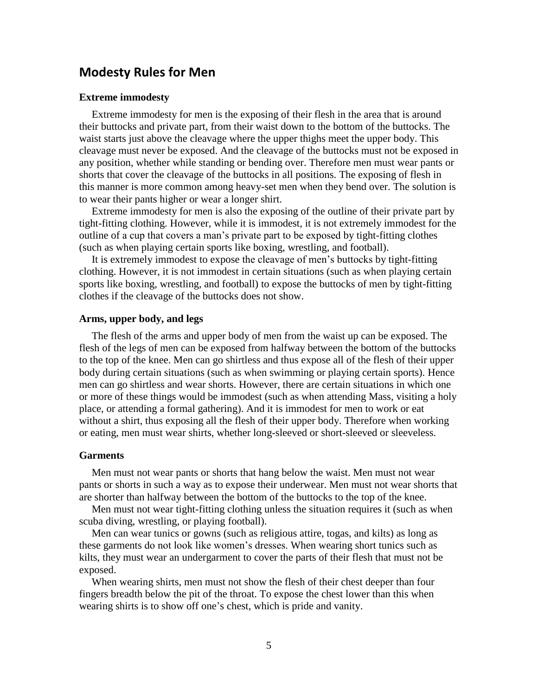# <span id="page-4-0"></span>**Modesty Rules for Men**

#### <span id="page-4-1"></span>**Extreme immodesty**

Extreme immodesty for men is the exposing of their flesh in the area that is around their buttocks and private part, from their waist down to the bottom of the buttocks. The waist starts just above the cleavage where the upper thighs meet the upper body. This cleavage must never be exposed. And the cleavage of the buttocks must not be exposed in any position, whether while standing or bending over. Therefore men must wear pants or shorts that cover the cleavage of the buttocks in all positions. The exposing of flesh in this manner is more common among heavy-set men when they bend over. The solution is to wear their pants higher or wear a longer shirt.

Extreme immodesty for men is also the exposing of the outline of their private part by tight-fitting clothing. However, while it is immodest, it is not extremely immodest for the outline of a cup that covers a man's private part to be exposed by tight-fitting clothes (such as when playing certain sports like boxing, wrestling, and football).

It is extremely immodest to expose the cleavage of men's buttocks by tight-fitting clothing. However, it is not immodest in certain situations (such as when playing certain sports like boxing, wrestling, and football) to expose the buttocks of men by tight-fitting clothes if the cleavage of the buttocks does not show.

#### <span id="page-4-2"></span>**Arms, upper body, and legs**

The flesh of the arms and upper body of men from the waist up can be exposed. The flesh of the legs of men can be exposed from halfway between the bottom of the buttocks to the top of the knee. Men can go shirtless and thus expose all of the flesh of their upper body during certain situations (such as when swimming or playing certain sports). Hence men can go shirtless and wear shorts. However, there are certain situations in which one or more of these things would be immodest (such as when attending Mass, visiting a holy place, or attending a formal gathering). And it is immodest for men to work or eat without a shirt, thus exposing all the flesh of their upper body. Therefore when working or eating, men must wear shirts, whether long-sleeved or short-sleeved or sleeveless.

### <span id="page-4-3"></span>**Garments**

Men must not wear pants or shorts that hang below the waist. Men must not wear pants or shorts in such a way as to expose their underwear. Men must not wear shorts that are shorter than halfway between the bottom of the buttocks to the top of the knee.

Men must not wear tight-fitting clothing unless the situation requires it (such as when scuba diving, wrestling, or playing football).

Men can wear tunics or gowns (such as religious attire, togas, and kilts) as long as these garments do not look like women's dresses. When wearing short tunics such as kilts, they must wear an undergarment to cover the parts of their flesh that must not be exposed.

When wearing shirts, men must not show the flesh of their chest deeper than four fingers breadth below the pit of the throat. To expose the chest lower than this when wearing shirts is to show off one's chest, which is pride and vanity.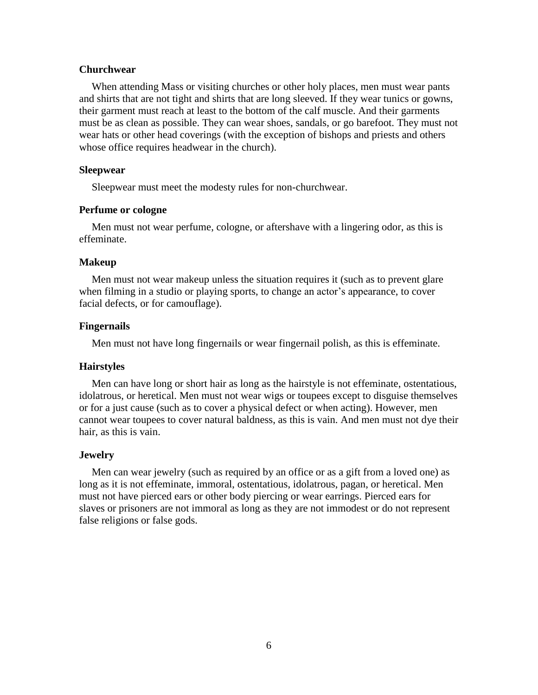### <span id="page-5-0"></span>**Churchwear**

When attending Mass or visiting churches or other holy places, men must wear pants and shirts that are not tight and shirts that are long sleeved. If they wear tunics or gowns, their garment must reach at least to the bottom of the calf muscle. And their garments must be as clean as possible. They can wear shoes, sandals, or go barefoot. They must not wear hats or other head coverings (with the exception of bishops and priests and others whose office requires headwear in the church).

#### <span id="page-5-1"></span>**Sleepwear**

Sleepwear must meet the modesty rules for non-churchwear.

# <span id="page-5-2"></span>**Perfume or cologne**

Men must not wear perfume, cologne, or aftershave with a lingering odor, as this is effeminate.

#### <span id="page-5-3"></span>**Makeup**

Men must not wear makeup unless the situation requires it (such as to prevent glare when filming in a studio or playing sports, to change an actor's appearance, to cover facial defects, or for camouflage).

#### <span id="page-5-4"></span>**Fingernails**

Men must not have long fingernails or wear fingernail polish, as this is effeminate.

# <span id="page-5-5"></span>**Hairstyles**

Men can have long or short hair as long as the hairstyle is not effeminate, ostentatious, idolatrous, or heretical. Men must not wear wigs or toupees except to disguise themselves or for a just cause (such as to cover a physical defect or when acting). However, men cannot wear toupees to cover natural baldness, as this is vain. And men must not dye their hair, as this is vain.

#### <span id="page-5-6"></span>**Jewelry**

Men can wear jewelry (such as required by an office or as a gift from a loved one) as long as it is not effeminate, immoral, ostentatious, idolatrous, pagan, or heretical. Men must not have pierced ears or other body piercing or wear earrings. Pierced ears for slaves or prisoners are not immoral as long as they are not immodest or do not represent false religions or false gods.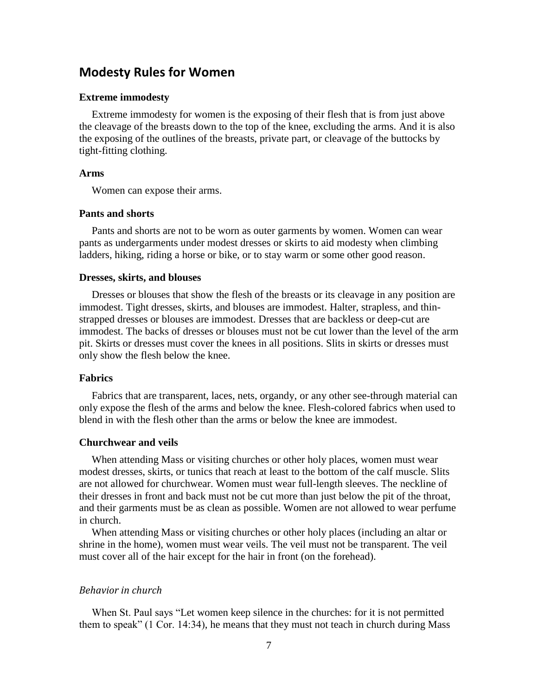# <span id="page-6-0"></span>**Modesty Rules for Women**

#### <span id="page-6-1"></span>**Extreme immodesty**

Extreme immodesty for women is the exposing of their flesh that is from just above the cleavage of the breasts down to the top of the knee, excluding the arms. And it is also the exposing of the outlines of the breasts, private part, or cleavage of the buttocks by tight-fitting clothing.

# <span id="page-6-2"></span>**Arms**

Women can expose their arms.

#### <span id="page-6-3"></span>**Pants and shorts**

Pants and shorts are not to be worn as outer garments by women. Women can wear pants as undergarments under modest dresses or skirts to aid modesty when climbing ladders, hiking, riding a horse or bike, or to stay warm or some other good reason.

#### <span id="page-6-4"></span>**Dresses, skirts, and blouses**

Dresses or blouses that show the flesh of the breasts or its cleavage in any position are immodest. Tight dresses, skirts, and blouses are immodest. Halter, strapless, and thinstrapped dresses or blouses are immodest. Dresses that are backless or deep-cut are immodest. The backs of dresses or blouses must not be cut lower than the level of the arm pit. Skirts or dresses must cover the knees in all positions. Slits in skirts or dresses must only show the flesh below the knee.

### <span id="page-6-5"></span>**Fabrics**

Fabrics that are transparent, laces, nets, organdy, or any other see-through material can only expose the flesh of the arms and below the knee. Flesh-colored fabrics when used to blend in with the flesh other than the arms or below the knee are immodest.

#### <span id="page-6-6"></span>**Churchwear and veils**

When attending Mass or visiting churches or other holy places, women must wear modest dresses, skirts, or tunics that reach at least to the bottom of the calf muscle. Slits are not allowed for churchwear. Women must wear full-length sleeves. The neckline of their dresses in front and back must not be cut more than just below the pit of the throat, and their garments must be as clean as possible. Women are not allowed to wear perfume in church.

When attending Mass or visiting churches or other holy places (including an altar or shrine in the home), women must wear veils. The veil must not be transparent. The veil must cover all of the hair except for the hair in front (on the forehead).

# <span id="page-6-7"></span>*Behavior in church*

When St. Paul says "Let women keep silence in the churches: for it is not permitted them to speak" (1 Cor. 14:34), he means that they must not teach in church during Mass